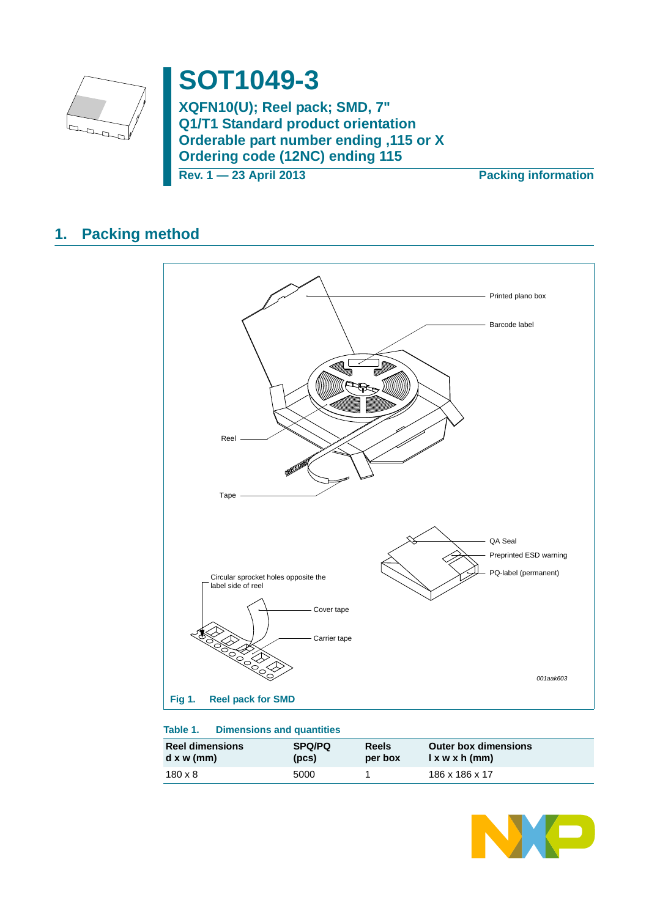

# **SOT1049-3**

**XQFN10(U); Reel pack; SMD, 7" Q1/T1 Standard product orientation Orderable part number ending ,115 or X Ordering code (12NC) ending 115**

**Rev. 1 — 23 April 2013 Packing information**

## **1. Packing method**



### **Table 1. Dimensions and quantities**

| <b>Reel dimensions</b> | <b>SPQ/PQ</b> | Reels   | <b>Outer box dimensions</b> |
|------------------------|---------------|---------|-----------------------------|
| $d \times w$ (mm)      | (pcs)         | per box | $l \times w \times h$ (mm)  |
| $180 \times 8$         | 5000          |         | 186 x 186 x 17              |

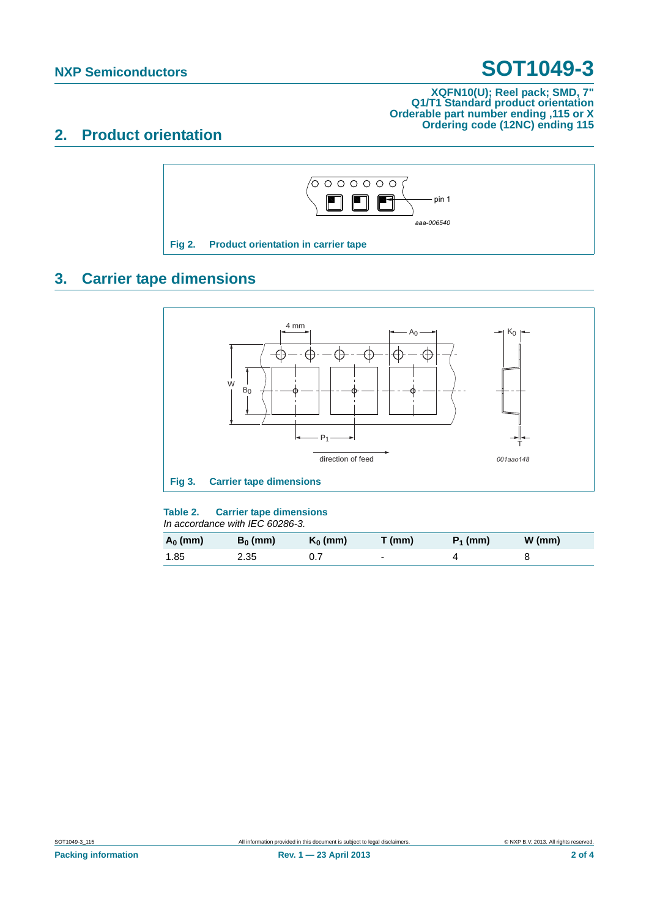# **NXP Semiconductors SOT1049-3**

### **XQFN10(U); Reel pack; SMD, 7" Q1/T1 Standard product orientation Orderable part number ending ,115 or X Ordering code (12NC) ending 115**

### **2. Product orientation**



# **3. Carrier tape dimensions**



### **Table 2. Carrier tape dimensions**

*In accordance with IEC 60286-3.*

| $A_0$ (mm) | $B_0$ (mm) | $K_0$ (mm) | T(mm) | $P_1$ (mm) | $W$ (mm) |
|------------|------------|------------|-------|------------|----------|
| 1.85       | 2.35       |            | -     |            |          |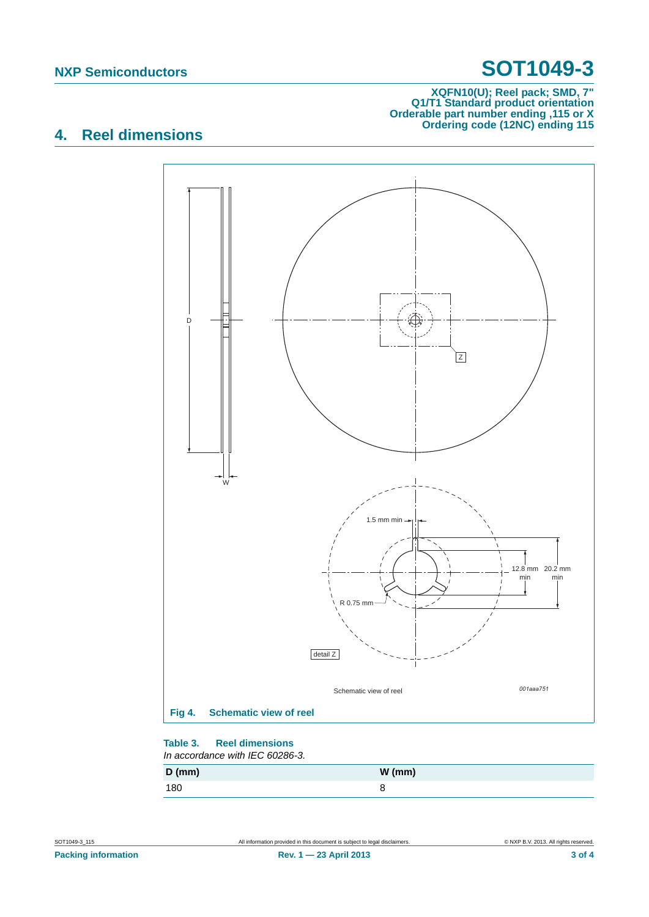# **NXP Semiconductors SOT1049-3**

### **XQFN10(U); Reel pack; SMD, 7" Q1/T1 Standard product orientation Orderable part number ending ,115 or X Ordering code (12NC) ending 115**

## **4. Reel dimensions**



#### **Table 3. Reel dimensions** *In accordance with IEC 60286-3.*

| $D$ (mm) | $W$ (mm) |
|----------|----------|
| 180      | c        |